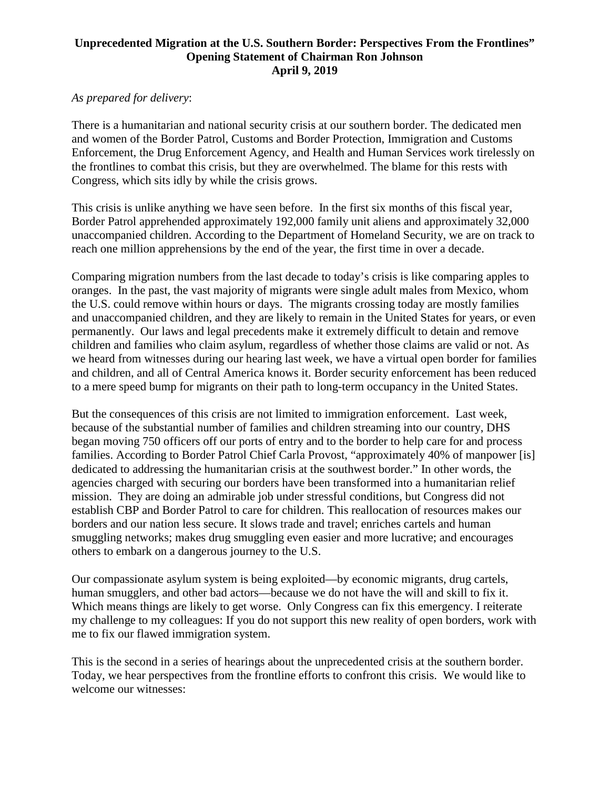## **Unprecedented Migration at the U.S. Southern Border: Perspectives From the Frontlines" Opening Statement of Chairman Ron Johnson April 9, 2019**

## *As prepared for delivery*:

There is a humanitarian and national security crisis at our southern border. The dedicated men and women of the Border Patrol, Customs and Border Protection, Immigration and Customs Enforcement, the Drug Enforcement Agency, and Health and Human Services work tirelessly on the frontlines to combat this crisis, but they are overwhelmed. The blame for this rests with Congress, which sits idly by while the crisis grows.

This crisis is unlike anything we have seen before. In the first six months of this fiscal year, Border Patrol apprehended approximately 192,000 family unit aliens and approximately 32,000 unaccompanied children. According to the Department of Homeland Security, we are on track to reach one million apprehensions by the end of the year, the first time in over a decade.

Comparing migration numbers from the last decade to today's crisis is like comparing apples to oranges. In the past, the vast majority of migrants were single adult males from Mexico, whom the U.S. could remove within hours or days. The migrants crossing today are mostly families and unaccompanied children, and they are likely to remain in the United States for years, or even permanently. Our laws and legal precedents make it extremely difficult to detain and remove children and families who claim asylum, regardless of whether those claims are valid or not. As we heard from witnesses during our hearing last week, we have a virtual open border for families and children, and all of Central America knows it. Border security enforcement has been reduced to a mere speed bump for migrants on their path to long-term occupancy in the United States.

But the consequences of this crisis are not limited to immigration enforcement. Last week, because of the substantial number of families and children streaming into our country, DHS began moving 750 officers off our ports of entry and to the border to help care for and process families. According to Border Patrol Chief Carla Provost, "approximately 40% of manpower [is] dedicated to addressing the humanitarian crisis at the southwest border." In other words, the agencies charged with securing our borders have been transformed into a humanitarian relief mission. They are doing an admirable job under stressful conditions, but Congress did not establish CBP and Border Patrol to care for children. This reallocation of resources makes our borders and our nation less secure. It slows trade and travel; enriches cartels and human smuggling networks; makes drug smuggling even easier and more lucrative; and encourages others to embark on a dangerous journey to the U.S.

Our compassionate asylum system is being exploited—by economic migrants, drug cartels, human smugglers, and other bad actors—because we do not have the will and skill to fix it. Which means things are likely to get worse. Only Congress can fix this emergency. I reiterate my challenge to my colleagues: If you do not support this new reality of open borders, work with me to fix our flawed immigration system.

This is the second in a series of hearings about the unprecedented crisis at the southern border. Today, we hear perspectives from the frontline efforts to confront this crisis. We would like to welcome our witnesses: